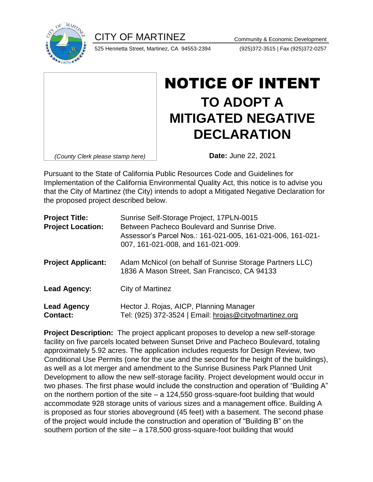CITY OF MARTINEZ Community & Economic Development



525 Henrietta Street, Martinez, CA 94553-2394 (925)372-3515 | Fax (925)372-0257

| (County Clerk please stamp here) |
|----------------------------------|
|                                  |

## NOTICE OF INTENT **TO ADOPT A MITIGATED NEGATIVE DECLARATION**

**Date:** June 22, 2021

Pursuant to the State of California Public Resources Code and Guidelines for Implementation of the California Environmental Quality Act, this notice is to advise you that the City of Martinez (the City) intends to adopt a Mitigated Negative Declaration for the proposed project described below.

| <b>Project Title:</b><br><b>Project Location:</b> | Sunrise Self-Storage Project, 17PLN-0015<br>Between Pacheco Boulevard and Sunrise Drive.<br>Assessor's Parcel Nos.: 161-021-005, 161-021-006, 161-021-<br>007, 161-021-008, and 161-021-009. |
|---------------------------------------------------|----------------------------------------------------------------------------------------------------------------------------------------------------------------------------------------------|
| <b>Project Applicant:</b>                         | Adam McNicol (on behalf of Sunrise Storage Partners LLC)<br>1836 A Mason Street, San Francisco, CA 94133                                                                                     |
| <b>Lead Agency:</b>                               | City of Martinez                                                                                                                                                                             |
| <b>Lead Agency</b><br><b>Contact:</b>             | Hector J. Rojas, AICP, Planning Manager<br>Tel: (925) 372-3524   Email: hrojas@cityofmartinez.org                                                                                            |

**Project Description:** The project applicant proposes to develop a new self-storage facility on five parcels located between Sunset Drive and Pacheco Boulevard, totaling approximately 5.92 acres. The application includes requests for Design Review, two Conditional Use Permits (one for the use and the second for the height of the buildings), as well as a lot merger and amendment to the Sunrise Business Park Planned Unit Development to allow the new self-storage facility. Project development would occur in two phases. The first phase would include the construction and operation of "Building A" on the northern portion of the site – a 124,550 gross-square-foot building that would accommodate 928 storage units of various sizes and a management office. Building A is proposed as four stories aboveground (45 feet) with a basement. The second phase of the project would include the construction and operation of "Building B" on the southern portion of the site – a 178,500 gross-square-foot building that would